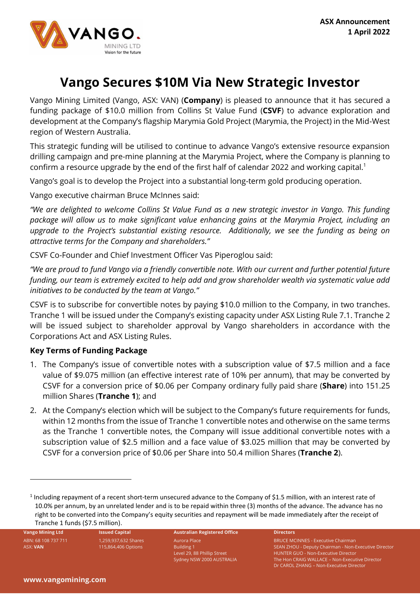

# **Vango Secures \$10M Via New Strategic Investor**

Vango Mining Limited (Vango, ASX: VAN) (**Company**) is pleased to announce that it has secured a funding package of \$10.0 million from Collins St Value Fund (**CSVF**) to advance exploration and development at the Company's flagship Marymia Gold Project (Marymia, the Project) in the Mid-West region of Western Australia.

This strategic funding will be utilised to continue to advance Vango's extensive resource expansion drilling campaign and pre-mine planning at the Marymia Project, where the Company is planning to confirm a resource upgrade by the end of the first half of calendar 2022 and working capital. 1

Vango's goal is to develop the Project into a substantial long-term gold producing operation.

Vango executive chairman Bruce McInnes said:

*"We are delighted to welcome Collins St Value Fund as a new strategic investor in Vango. This funding package will allow us to make significant value enhancing gains at the Marymia Project, including an upgrade to the Project's substantial existing resource. Additionally, we see the funding as being on attractive terms for the Company and shareholders."*

CSVF Co-Founder and Chief Investment Officer Vas Piperoglou said:

*"We are proud to fund Vango via a friendly convertible note. With our current and further potential future funding, our team is extremely excited to help add and grow shareholder wealth via systematic value add initiatives to be conducted by the team at Vango."*

CSVF is to subscribe for convertible notes by paying \$10.0 million to the Company, in two tranches. Tranche 1 will be issued under the Company's existing capacity under ASX Listing Rule 7.1. Tranche 2 will be issued subject to shareholder approval by Vango shareholders in accordance with the Corporations Act and ASX Listing Rules.

## **Key Terms of Funding Package**

- 1. The Company's issue of convertible notes with a subscription value of \$7.5 million and a face value of \$9.075 million (an effective interest rate of 10% per annum), that may be converted by CSVF for a conversion price of \$0.06 per Company ordinary fully paid share (**Share**) into 151.25 million Shares (**Tranche 1**); and
- 2. At the Company's election which will be subject to the Company's future requirements for funds, within 12 months from the issue of Tranche 1 convertible notes and otherwise on the same terms as the Tranche 1 convertible notes, the Company will issue additional convertible notes with a subscription value of \$2.5 million and a face value of \$3.025 million that may be converted by CSVF for a conversion price of \$0.06 per Share into 50.4 million Shares (**Tranche 2**).

ABN: 68 108 737 711 ASX: **VAN**

1,259,937,632 Shares 115,864,406 Options

#### **Vango Mining Ltd Issued Capital Australian Registered Office Directors** Aurora Place Building 1 Level 29, 88 Phillip Street

Sydney NSW 2000 AUSTRALIA

BRUCE MCINNES - Executive Chairman SEAN ZHOU - Deputy Chairman - Non-Executive Director HUNTER GUO - Non-Executive Director The Hon CRAIG WALLACE – Non-Executive Director Dr CAROL ZHANG – Non-Executive Director

<sup>&</sup>lt;sup>1</sup> Including repayment of a recent short-term unsecured advance to the Company of \$1.5 million, with an interest rate of 10.0% per annum, by an unrelated lender and is to be repaid within three (3) months of the advance. The advance has no right to be converted into the Company's equity securities and repayment will be made immediately after the receipt of Tranche 1 funds (\$7.5 million).